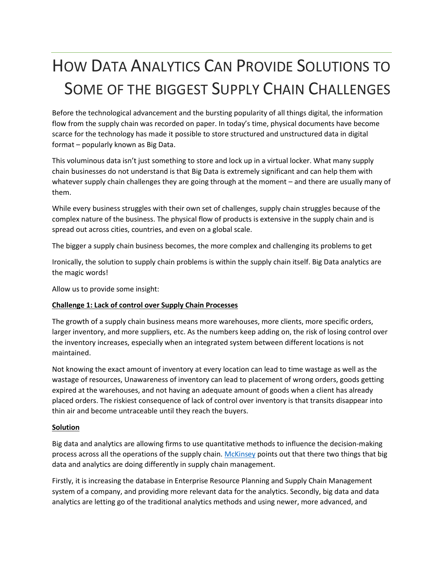# HOW DATA ANALYTICS CAN PROVIDE SOLUTIONS TO SOME OF THE BIGGEST SUPPLY CHAIN CHALLENGES

Before the technological advancement and the bursting popularity of all things digital, the information flow from the supply chain was recorded on paper. In today's time, physical documents have become scarce for the technology has made it possible to store structured and unstructured data in digital format – popularly known as Big Data.

This voluminous data isn't just something to store and lock up in a virtual locker. What many supply chain businesses do not understand is that Big Data is extremely significant and can help them with whatever supply chain challenges they are going through at the moment – and there are usually many of them.

While every business struggles with their own set of challenges, supply chain struggles because of the complex nature of the business. The physical flow of products is extensive in the supply chain and is spread out across cities, countries, and even on a global scale.

The bigger a supply chain business becomes, the more complex and challenging its problems to get

Ironically, the solution to supply chain problems is within the supply chain itself. Big Data analytics are the magic words!

Allow us to provide some insight:

## **Challenge 1: Lack of control over Supply Chain Processes**

The growth of a supply chain business means more warehouses, more clients, more specific orders, larger inventory, and more suppliers, etc. As the numbers keep adding on, the risk of losing control over the inventory increases, especially when an integrated system between different locations is not maintained.

Not knowing the exact amount of inventory at every location can lead to time wastage as well as the wastage of resources, Unawareness of inventory can lead to placement of wrong orders, goods getting expired at the warehouses, and not having an adequate amount of goods when a client has already placed orders. The riskiest consequence of lack of control over inventory is that transits disappear into thin air and become untraceable until they reach the buyers.

### **Solution**

Big data and analytics are allowing firms to use quantitative methods to influence the decision-making process across all the operations of the supply chain. [McKinsey](https://www.mckinsey.com/business-functions/operations/our-insights/big-data-and-the-supply-chain-the-big-supply-chain-analytics-landscape-part-1) points out that there two things that big data and analytics are doing differently in supply chain management.

Firstly, it is increasing the database in Enterprise Resource Planning and Supply Chain Management system of a company, and providing more relevant data for the analytics. Secondly, big data and data analytics are letting go of the traditional analytics methods and using newer, more advanced, and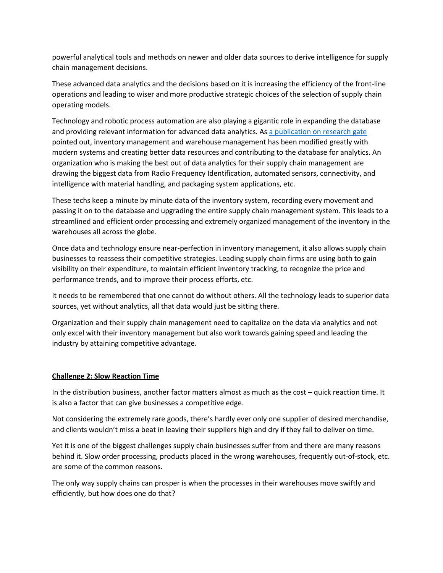powerful analytical tools and methods on newer and older data sources to derive intelligence for supply chain management decisions.

These advanced data analytics and the decisions based on it is increasing the efficiency of the front-line operations and leading to wiser and more productive strategic choices of the selection of supply chain operating models.

Technology and robotic process automation are also playing a gigantic role in expanding the database and providing relevant information for advanced data analytics. As [a publication on research gate](https://www.researchgate.net/publication/323992672_Big_data_and_its_impact_on_digitized_supply_chain_management) pointed out, inventory management and warehouse management has been modified greatly with modern systems and creating better data resources and contributing to the database for analytics. An organization who is making the best out of data analytics for their supply chain management are drawing the biggest data from Radio Frequency Identification, automated sensors, connectivity, and intelligence with material handling, and packaging system applications, etc.

These techs keep a minute by minute data of the inventory system, recording every movement and passing it on to the database and upgrading the entire supply chain management system. This leads to a streamlined and efficient order processing and extremely organized management of the inventory in the warehouses all across the globe.

Once data and technology ensure near-perfection in inventory management, it also allows supply chain businesses to reassess their competitive strategies. Leading supply chain firms are using both to gain visibility on their expenditure, to maintain efficient inventory tracking, to recognize the price and performance trends, and to improve their process efforts, etc.

It needs to be remembered that one cannot do without others. All the technology leads to superior data sources, yet without analytics, all that data would just be sitting there.

Organization and their supply chain management need to capitalize on the data via analytics and not only excel with their inventory management but also work towards gaining speed and leading the industry by attaining competitive advantage.

### **Challenge 2: Slow Reaction Time**

In the distribution business, another factor matters almost as much as the cost – quick reaction time. It is also a factor that can give businesses a competitive edge.

Not considering the extremely rare goods, there's hardly ever only one supplier of desired merchandise, and clients wouldn't miss a beat in leaving their suppliers high and dry if they fail to deliver on time.

Yet it is one of the biggest challenges supply chain businesses suffer from and there are many reasons behind it. Slow order processing, products placed in the wrong warehouses, frequently out-of-stock, etc. are some of the common reasons.

The only way supply chains can prosper is when the processes in their warehouses move swiftly and efficiently, but how does one do that?